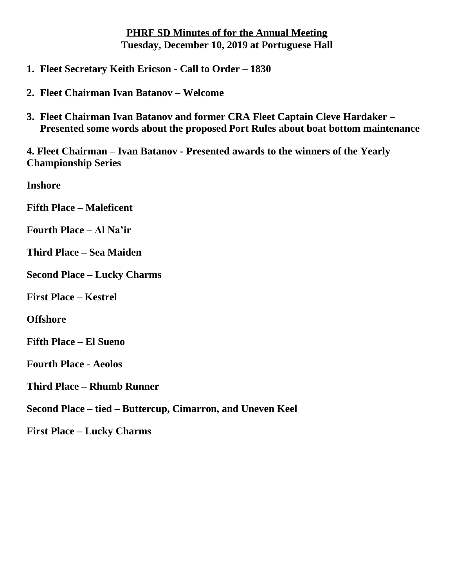## **PHRF SD Minutes of for the Annual Meeting Tuesday, December 10, 2019 at Portuguese Hall**

- **1. Fleet Secretary Keith Ericson - Call to Order – 1830**
- **2. Fleet Chairman Ivan Batanov – Welcome**
- **3. Fleet Chairman Ivan Batanov and former CRA Fleet Captain Cleve Hardaker – Presented some words about the proposed Port Rules about boat bottom maintenance**

**4. Fleet Chairman – Ivan Batanov - Presented awards to the winners of the Yearly Championship Series**

**Inshore** 

**Fifth Place – Maleficent** 

**Fourth Place – Al Na'ir**

**Third Place – Sea Maiden**

**Second Place – Lucky Charms**

**First Place – Kestrel**

**Offshore**

**Fifth Place – El Sueno**

**Fourth Place - Aeolos**

**Third Place – Rhumb Runner**

**Second Place – tied – Buttercup, Cimarron, and Uneven Keel**

**First Place – Lucky Charms**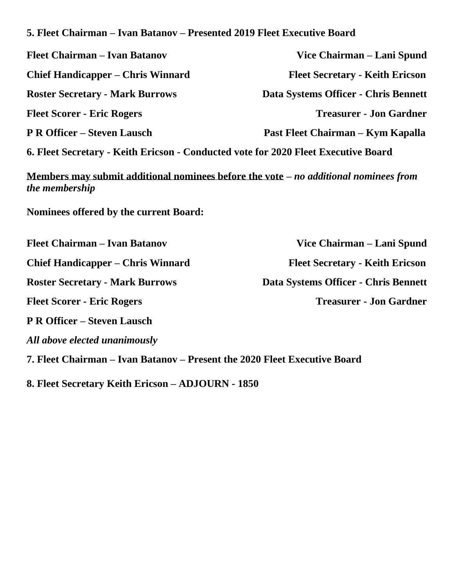|  | 5. Fleet Chairman – Ivan Batanov – Presented 2019 Fleet Executive Board |  |  |  |  |
|--|-------------------------------------------------------------------------|--|--|--|--|
|  |                                                                         |  |  |  |  |

| <b>Fleet Chairman – Ivan Batanov</b>                                               | Vice Chairman – Lani Spund             |
|------------------------------------------------------------------------------------|----------------------------------------|
| <b>Chief Handicapper – Chris Winnard</b>                                           | <b>Fleet Secretary - Keith Ericson</b> |
| <b>Roster Secretary - Mark Burrows</b>                                             | Data Systems Officer - Chris Bennett   |
| <b>Fleet Scorer - Eric Rogers</b>                                                  | <b>Treasurer - Jon Gardner</b>         |
| <b>P R Officer – Steven Lausch</b>                                                 | Past Fleet Chairman – Kym Kapalla      |
| 6. Fleet Secretary - Keith Ericson - Conducted vote for 2020 Fleet Executive Board |                                        |

**Members may submit additional nominees before the vote –** *no additional nominees from the membership*

**Nominees offered by the current Board:**

*All above elected unanimously*

**Chief Handicapper – Chris Winnard Fleet Secretary - Keith Ericson Roster Secretary - Mark Burrows Data Systems Officer - Chris Bennett Fleet Scorer - Eric Rogers Treasurer - Jon Gardner P R Officer – Steven Lausch**

**Fleet Chairman – Ivan Batanov Vice Chairman – Lani Spund**

**7. Fleet Chairman – Ivan Batanov – Present the 2020 Fleet Executive Board** 

**8. Fleet Secretary Keith Ericson – ADJOURN - 1850**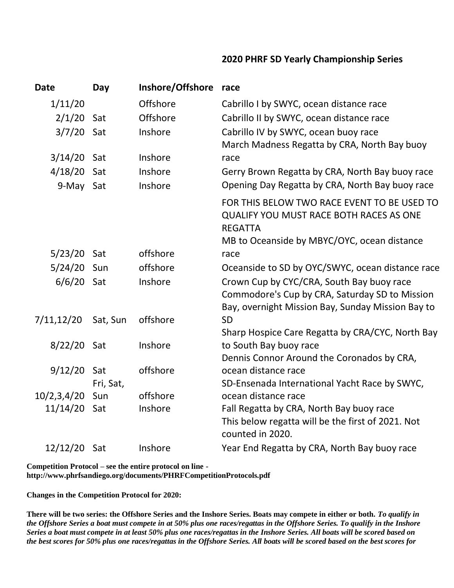## **2020 PHRF SD Yearly Championship Series**

| <b>Date</b>   | Day       | Inshore/Offshore | race                                                                       |
|---------------|-----------|------------------|----------------------------------------------------------------------------|
| 1/11/20       |           | Offshore         | Cabrillo I by SWYC, ocean distance race                                    |
| $2/1/20$ Sat  |           | Offshore         | Cabrillo II by SWYC, ocean distance race                                   |
| 3/7/20        | Sat       | Inshore          | Cabrillo IV by SWYC, ocean buoy race                                       |
|               |           |                  | March Madness Regatta by CRA, North Bay buoy                               |
| $3/14/20$ Sat |           | Inshore          | race                                                                       |
| 4/18/20       | Sat       | Inshore          | Gerry Brown Regatta by CRA, North Bay buoy race                            |
| 9-May Sat     |           | Inshore          | Opening Day Regatta by CRA, North Bay buoy race                            |
|               |           |                  | FOR THIS BELOW TWO RACE EVENT TO BE USED TO                                |
|               |           |                  | <b>QUALIFY YOU MUST RACE BOTH RACES AS ONE</b>                             |
|               |           |                  | <b>REGATTA</b>                                                             |
|               |           |                  | MB to Oceanside by MBYC/OYC, ocean distance                                |
| $5/23/20$ Sat |           | offshore         | race                                                                       |
| 5/24/20 Sun   |           | offshore         | Oceanside to SD by OYC/SWYC, ocean distance race                           |
| $6/6/20$ Sat  |           | Inshore          | Crown Cup by CYC/CRA, South Bay buoy race                                  |
|               |           |                  | Commodore's Cup by CRA, Saturday SD to Mission                             |
|               |           |                  | Bay, overnight Mission Bay, Sunday Mission Bay to                          |
| 7/11, 12/20   | Sat, Sun  | offshore         | <b>SD</b>                                                                  |
| 8/22/20 Sat   |           | Inshore          | Sharp Hospice Care Regatta by CRA/CYC, North Bay<br>to South Bay buoy race |
|               |           |                  | Dennis Connor Around the Coronados by CRA,                                 |
| 9/12/20 Sat   |           | offshore         | ocean distance race                                                        |
|               | Fri, Sat, |                  | SD-Ensenada International Yacht Race by SWYC,                              |
| 10/2,3,4/20   | Sun       | offshore         | ocean distance race                                                        |
| 11/14/20      | Sat       | Inshore          | Fall Regatta by CRA, North Bay buoy race                                   |
|               |           |                  | This below regatta will be the first of 2021. Not<br>counted in 2020.      |
| 12/12/20 Sat  |           | Inshore          | Year End Regatta by CRA, North Bay buoy race                               |
|               |           |                  |                                                                            |

**Competition Protocol – see the entire protocol on line http://www.phrfsandiego.org/documents/PHRFCompetitionProtocols.pdf**

**Changes in the Competition Protocol for 2020:** 

**There will be two series: the Offshore Series and the Inshore Series. Boats may compete in either or both.** *To qualify in the Offshore Series a boat must compete in at 50% plus one races/regattas in the Offshore Series. To qualify in the Inshore Series a boat must compete in at least 50% plus one races/regattas in the Inshore Series. All boats will be scored based on the best scores for 50% plus one races/regattas in the Offshore Series. All boats will be scored based on the best scores for*